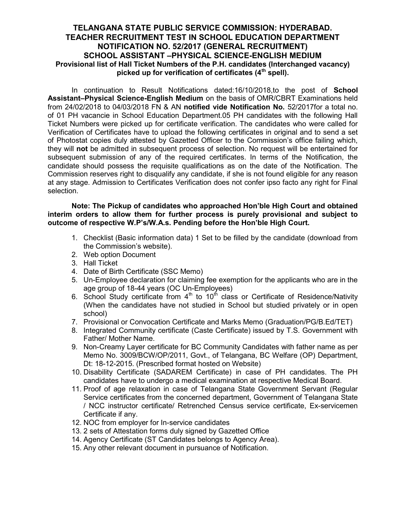## TELANGANA STATE PUBLIC SERVICE COMMISSION: HYDERABAD. TEACHER RECRUITMENT TEST IN SCHOOL EDUCATION DEPARTMENT NOTIFICATION NO. 52/2017 (GENERAL RECRUITMENT) SCHOOL ASSISTANT –PHYSICAL SCIENCE-ENGLISH MEDIUM Provisional list of Hall Ticket Numbers of the P.H. candidates (Interchanged vacancy) picked up for verification of certificates  $(4<sup>th</sup>$  spell).

In continuation to Result Notifications dated:16/10/2018,to the post of School Assistant–Physical Science-English Medium on the basis of OMR/CBRT Examinations held from 24/02/2018 to 04/03/2018 FN & AN notified vide Notification No. 52/2017for a total no. of 01 PH vacancie in School Education Department.05 PH candidates with the following Hall Ticket Numbers were picked up for certificate verification. The candidates who were called for Verification of Certificates have to upload the following certificates in original and to send a set of Photostat copies duly attested by Gazetted Officer to the Commission's office failing which, they will not be admitted in subsequent process of selection. No request will be entertained for subsequent submission of any of the required certificates. In terms of the Notification, the candidate should possess the requisite qualifications as on the date of the Notification. The Commission reserves right to disqualify any candidate, if she is not found eligible for any reason at any stage. Admission to Certificates Verification does not confer ipso facto any right for Final selection.

Note: The Pickup of candidates who approached Hon'ble High Court and obtained interim orders to allow them for further process is purely provisional and subject to outcome of respective W.P's/W.A.s. Pending before the Hon'ble High Court.

- 1. Checklist (Basic information data) 1 Set to be filled by the candidate (download from the Commission's website).
- 2. Web option Document
- 3. Hall Ticket
- 4. Date of Birth Certificate (SSC Memo)
- 5. Un-Employee declaration for claiming fee exemption for the applicants who are in the age group of 18-44 years (OC Un-Employees)
- 6. School Study certificate from  $4<sup>th</sup>$  to  $10<sup>th</sup>$  class or Certificate of Residence/Nativity (When the candidates have not studied in School but studied privately or in open school)
- 7. Provisional or Convocation Certificate and Marks Memo (Graduation/PG/B.Ed/TET)
- 8. Integrated Community certificate (Caste Certificate) issued by T.S. Government with Father/ Mother Name.
- 9. Non-Creamy Layer certificate for BC Community Candidates with father name as per Memo No. 3009/BCW/OP/2011, Govt., of Telangana, BC Welfare (OP) Department, Dt: 18-12-2015. (Prescribed format hosted on Website)
- 10. Disability Certificate (SADAREM Certificate) in case of PH candidates. The PH candidates have to undergo a medical examination at respective Medical Board.
- 11. Proof of age relaxation in case of Telangana State Government Servant (Regular Service certificates from the concerned department, Government of Telangana State / NCC instructor certificate/ Retrenched Census service certificate, Ex-servicemen Certificate if any.
- 12. NOC from employer for In-service candidates
- 13. 2 sets of Attestation forms duly signed by Gazetted Office
- 14. Agency Certificate (ST Candidates belongs to Agency Area).
- 15. Any other relevant document in pursuance of Notification.